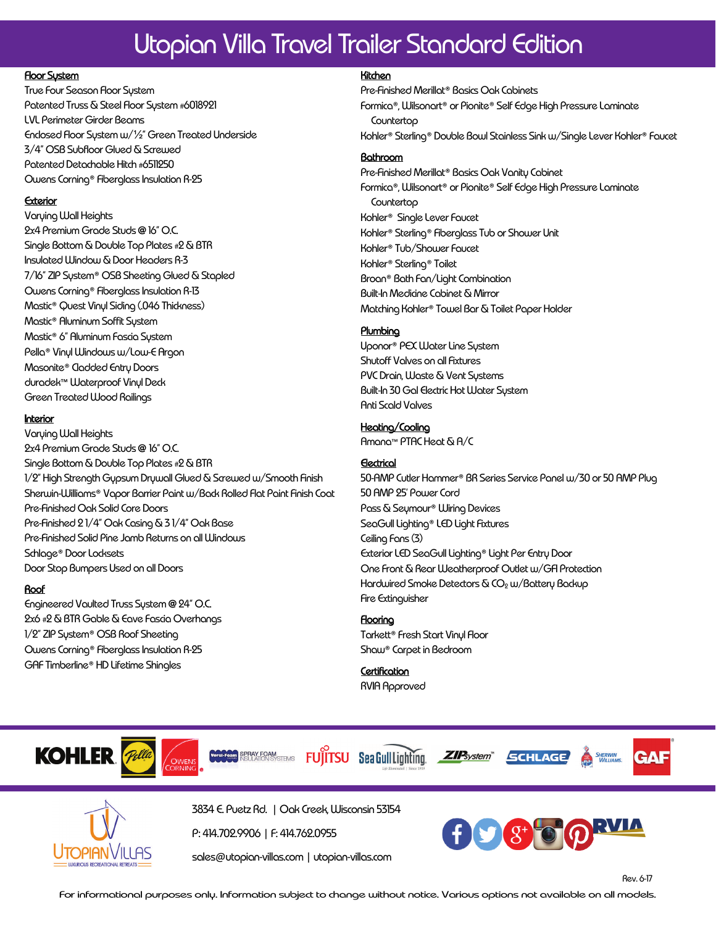# Utopian Villa Travel Trailer Standard Edition

#### **Floor System**

True Four Season Floor System Patented Truss & Steel Floor System **#**6018921 LVL Perimeter Girder Beams Enclosed Floor System w/½" Green Treated Underside 3/4" OSB Subfloor Glued & Screwed Patented Detachable Hitch **#**6511250 Owens Corning® Fiberglass Insulation R-25

### Exterior

Varying Wall Heights 2x4 Premium Grade Studs **@** 16" O.C. Single Bottom & Double Top Plates **#**2 & BTR Insulated Window & Door Headers R-3 7/16" ZIP System® OSB Sheeting Glued & Stapled Owens Corning® Fiberglass Insulation R-13 Mastic® Quest Vinyl Siding (.046 Thickness) Mastic® Aluminum Soffit System Mastic® 6" Aluminum Fascia System Pella® Vinyl Windows w/Low-E Argon Masonite® Cladded Entry Doors duradek™ Waterproof Vinyl Deck Green Treated Wood Railings

#### **Interior**

Varying Wall Heights 2x4 Premium Grade Studs **@** 16" O.C. Single Bottom & Double Top Plates **#**2 & BTR 1/2" High Strength Gypsum Drywall Glued & Screwed w/Smooth Finish Sherwin-Williams® Vapor Barrier Paint w/Back Rolled Flat Paint Finish Coat Pre-Finished Oak Solid Core Doors Pre-Finished 2 1/4" Oak Casing & 3 1/4" Oak Base Pre-Finished Solid Pine Jamb Returns on all Windows Schlage® Door Locksets Door Stop Bumpers Used on all Doors

# Roof

Engineered Vaulted Truss System **@** 24" O.C. 2x6 **#**2 & BTR Gable & Eave Fascia Overhangs 1/2" ZIP System® OSB Roof Sheeting Owens Corning® Fiberglass Insulation R-25 GAF Timberline® HD Lifetime Shingles

# Kitchen

Pre-Finished Merillat® Basics Oak Cabinets Formica®, Wilsonart® or Pionite® Self Edge High Pressure Laminate Countertop Kohler® Sterling® Double Bowl Stainless Sink w/Single Lever Kohler® Faucet

# Bathroom

Pre-Finished Merillat® Basics Oak Vanity Cabinet Formica®, Wilsonart® or Pionite® Self Edge High Pressure Laminate **Countertop** Kohler® Single Lever Faucet Kohler® Sterling® Fiberglass Tub or Shower Unit Kohler® Tub/Shower Faucet Kohler® Sterling® Toilet Broan® Bath Fan/Light Combination Built-In Medicine Cabinet & Mirror Matching Kohler® Towel Bar & Toilet Paper Holder

# **Plumbing**

Uponor® PEX Water Line System Shutoff Valves on all Fixtures PVC Drain, Waste & Vent Systems Built-In 30 Gal Electric Hot Water System Anti Scald Valves

# Heating/Cooling

Amana™ PTAC Heat & A/C

# **Electrical**

50-AMP Cutler Hammer® BR Series Service Panel w/30 or 50 AMP Plug 50 AMP 25' Power Cord Pass & Seymour® Wiring Devices SeaGull Lighting® LED Light Fixtures Ceiling Fans (3) Exterior LED SeaGull Lighting® Light Per Entry Door One Front & Rear Weatherproof Outlet w/GFI Protection Hardwired Smoke Detectors & CO<sub>2</sub> w/Battery Backup Fire Extinguisher

# Flooring

Tarkett® Fresh Start Vinyl Floor Shaw® Carpet in Bedroom

**Certification** RVIA Approved



3834 E. Puetz Rd. | Oak Creek, Wisconsin 53154

P: 414.702.9906 | F: 414.762.0955

sales@utopian-villas.com | utopian-villas.com



Rev. 6-17

For informational purposes only. Information subject to change without notice. Various options not available on all models.